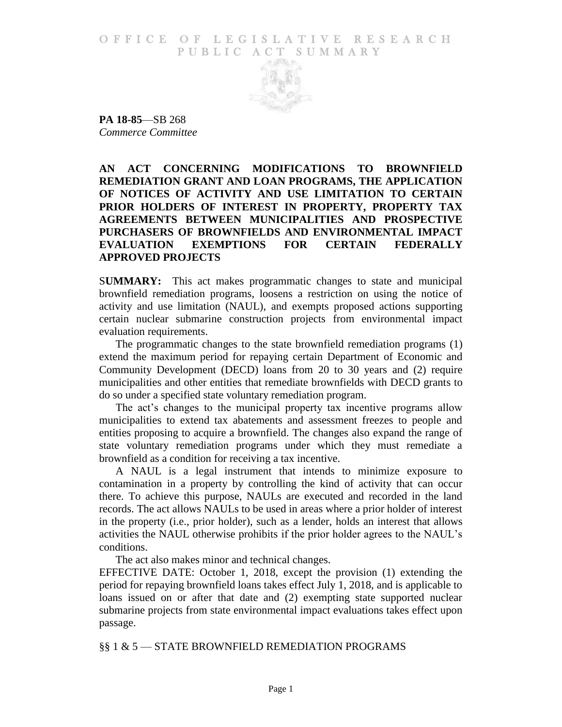O F FICE OF LEGISLATIVE RESEARCH PUBLIC ACT SUMMARY



**PA 18-85**—SB 268 *Commerce Committee*

**AN ACT CONCERNING MODIFICATIONS TO BROWNFIELD REMEDIATION GRANT AND LOAN PROGRAMS, THE APPLICATION OF NOTICES OF ACTIVITY AND USE LIMITATION TO CERTAIN PRIOR HOLDERS OF INTEREST IN PROPERTY, PROPERTY TAX AGREEMENTS BETWEEN MUNICIPALITIES AND PROSPECTIVE PURCHASERS OF BROWNFIELDS AND ENVIRONMENTAL IMPACT EVALUATION EXEMPTIONS FOR CERTAIN FEDERALLY APPROVED PROJECTS**

S**UMMARY:** This act makes programmatic changes to state and municipal brownfield remediation programs, loosens a restriction on using the notice of activity and use limitation (NAUL), and exempts proposed actions supporting certain nuclear submarine construction projects from environmental impact evaluation requirements.

The programmatic changes to the state brownfield remediation programs (1) extend the maximum period for repaying certain Department of Economic and Community Development (DECD) loans from 20 to 30 years and (2) require municipalities and other entities that remediate brownfields with DECD grants to do so under a specified state voluntary remediation program.

The act's changes to the municipal property tax incentive programs allow municipalities to extend tax abatements and assessment freezes to people and entities proposing to acquire a brownfield. The changes also expand the range of state voluntary remediation programs under which they must remediate a brownfield as a condition for receiving a tax incentive.

A NAUL is a legal instrument that intends to minimize exposure to contamination in a property by controlling the kind of activity that can occur there. To achieve this purpose, NAULs are executed and recorded in the land records. The act allows NAULs to be used in areas where a prior holder of interest in the property (i.e., prior holder), such as a lender, holds an interest that allows activities the NAUL otherwise prohibits if the prior holder agrees to the NAUL's conditions.

The act also makes minor and technical changes.

EFFECTIVE DATE: October 1, 2018, except the provision (1) extending the period for repaying brownfield loans takes effect July 1, 2018, and is applicable to loans issued on or after that date and (2) exempting state supported nuclear submarine projects from state environmental impact evaluations takes effect upon passage.

#### §§ 1 & 5 — STATE BROWNFIELD REMEDIATION PROGRAMS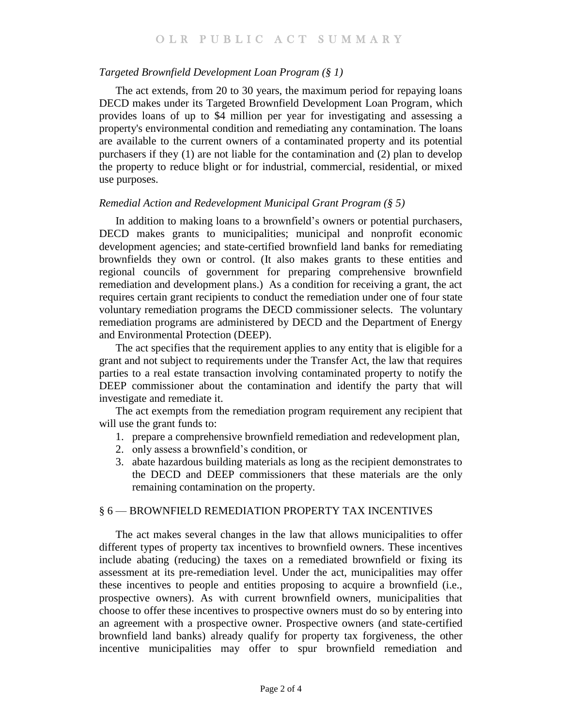## *Targeted Brownfield Development Loan Program (§ 1)*

The act extends, from 20 to 30 years, the maximum period for repaying loans DECD makes under its Targeted Brownfield Development Loan Program, which provides loans of up to \$4 million per year for investigating and assessing a property's environmental condition and remediating any contamination. The loans are available to the current owners of a contaminated property and its potential purchasers if they (1) are not liable for the contamination and (2) plan to develop the property to reduce blight or for industrial, commercial, residential, or mixed use purposes.

## *Remedial Action and Redevelopment Municipal Grant Program (§ 5)*

In addition to making loans to a brownfield's owners or potential purchasers, DECD makes grants to municipalities; municipal and nonprofit economic development agencies; and state-certified brownfield land banks for remediating brownfields they own or control. (It also makes grants to these entities and regional councils of government for preparing comprehensive brownfield remediation and development plans.) As a condition for receiving a grant, the act requires certain grant recipients to conduct the remediation under one of four state voluntary remediation programs the DECD commissioner selects. The voluntary remediation programs are administered by DECD and the Department of Energy and Environmental Protection (DEEP).

The act specifies that the requirement applies to any entity that is eligible for a grant and not subject to requirements under the Transfer Act, the law that requires parties to a real estate transaction involving contaminated property to notify the DEEP commissioner about the contamination and identify the party that will investigate and remediate it.

The act exempts from the remediation program requirement any recipient that will use the grant funds to:

- 1. prepare a comprehensive brownfield remediation and redevelopment plan,
- 2. only assess a brownfield's condition, or
- 3. abate hazardous building materials as long as the recipient demonstrates to the DECD and DEEP commissioners that these materials are the only remaining contamination on the property.

## § 6 — BROWNFIELD REMEDIATION PROPERTY TAX INCENTIVES

The act makes several changes in the law that allows municipalities to offer different types of property tax incentives to brownfield owners. These incentives include abating (reducing) the taxes on a remediated brownfield or fixing its assessment at its pre-remediation level. Under the act, municipalities may offer these incentives to people and entities proposing to acquire a brownfield (i.e., prospective owners). As with current brownfield owners, municipalities that choose to offer these incentives to prospective owners must do so by entering into an agreement with a prospective owner. Prospective owners (and state-certified brownfield land banks) already qualify for property tax forgiveness, the other incentive municipalities may offer to spur brownfield remediation and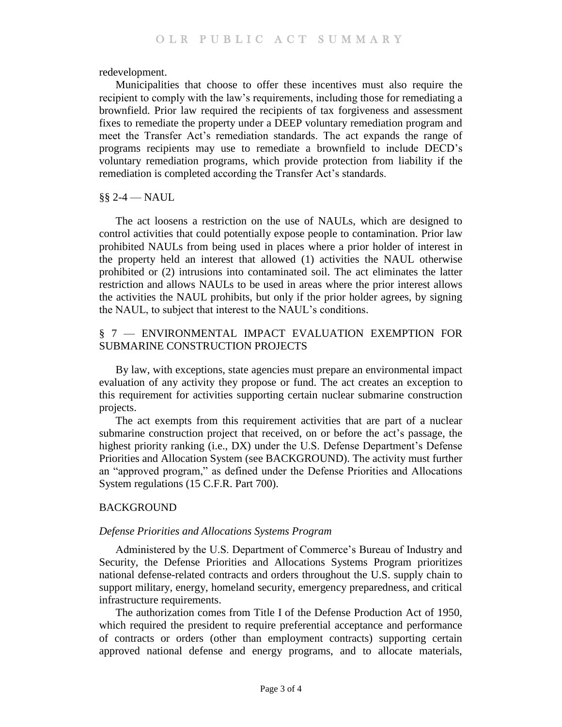redevelopment.

Municipalities that choose to offer these incentives must also require the recipient to comply with the law's requirements, including those for remediating a brownfield. Prior law required the recipients of tax forgiveness and assessment fixes to remediate the property under a DEEP voluntary remediation program and meet the Transfer Act's remediation standards. The act expands the range of programs recipients may use to remediate a brownfield to include DECD's voluntary remediation programs, which provide protection from liability if the remediation is completed according the Transfer Act's standards.

### §§ 2-4 — NAUL

The act loosens a restriction on the use of NAULs, which are designed to control activities that could potentially expose people to contamination. Prior law prohibited NAULs from being used in places where a prior holder of interest in the property held an interest that allowed (1) activities the NAUL otherwise prohibited or (2) intrusions into contaminated soil. The act eliminates the latter restriction and allows NAULs to be used in areas where the prior interest allows the activities the NAUL prohibits, but only if the prior holder agrees, by signing the NAUL, to subject that interest to the NAUL's conditions.

# § 7 — ENVIRONMENTAL IMPACT EVALUATION EXEMPTION FOR SUBMARINE CONSTRUCTION PROJECTS

By law, with exceptions, state agencies must prepare an environmental impact evaluation of any activity they propose or fund. The act creates an exception to this requirement for activities supporting certain nuclear submarine construction projects.

The act exempts from this requirement activities that are part of a nuclear submarine construction project that received, on or before the act's passage, the highest priority ranking (i.e., DX) under the U.S. Defense Department's Defense Priorities and Allocation System (see BACKGROUND). The activity must further an "approved program," as defined under the Defense Priorities and Allocations System regulations (15 C.F.R. Part 700).

## **BACKGROUND**

## *Defense Priorities and Allocations Systems Program*

Administered by the U.S. Department of Commerce's Bureau of Industry and Security, the Defense Priorities and Allocations Systems Program prioritizes national defense-related contracts and orders throughout the U.S. supply chain to support military, energy, homeland security, emergency preparedness, and critical infrastructure requirements.

The authorization comes from Title I of the Defense Production Act of 1950, which required the president to require preferential acceptance and performance of contracts or orders (other than employment contracts) supporting certain approved national defense and energy programs, and to allocate materials,